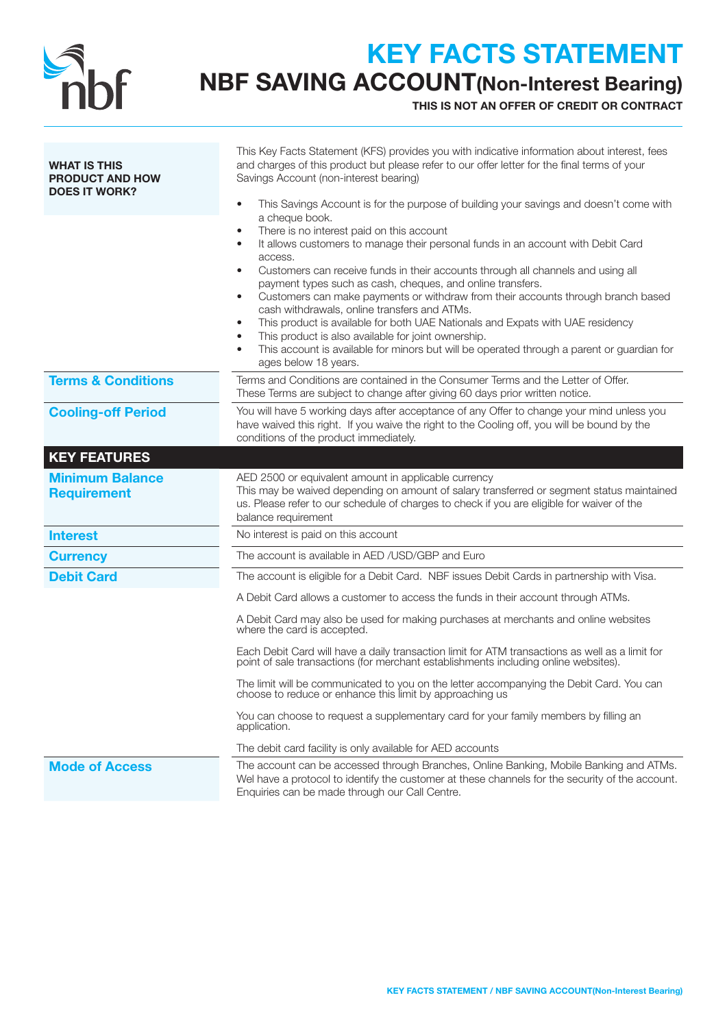

# KEY FACTS STATEMENT

NBF SAVING ACCOUNT(Non-Interest Bearing)

THIS IS NOT AN OFFER OF CREDIT OR CONTRACT

| <b>WHAT IS THIS</b><br><b>PRODUCT AND HOW</b><br><b>DOES IT WORK?</b> | This Key Facts Statement (KFS) provides you with indicative information about interest, fees<br>and charges of this product but please refer to our offer letter for the final terms of your<br>Savings Account (non-interest bearing)<br>This Savings Account is for the purpose of building your savings and doesn't come with<br>$\bullet$                                                                                                                                                                                                                                                                                                                                                                                                                            |  |
|-----------------------------------------------------------------------|--------------------------------------------------------------------------------------------------------------------------------------------------------------------------------------------------------------------------------------------------------------------------------------------------------------------------------------------------------------------------------------------------------------------------------------------------------------------------------------------------------------------------------------------------------------------------------------------------------------------------------------------------------------------------------------------------------------------------------------------------------------------------|--|
|                                                                       | a cheque book.<br>There is no interest paid on this account<br>It allows customers to manage their personal funds in an account with Debit Card<br>$\bullet$<br>access.<br>Customers can receive funds in their accounts through all channels and using all<br>$\bullet$<br>payment types such as cash, cheques, and online transfers.<br>Customers can make payments or withdraw from their accounts through branch based<br>$\bullet$<br>cash withdrawals, online transfers and ATMs.<br>This product is available for both UAE Nationals and Expats with UAE residency<br>٠<br>This product is also available for joint ownership.<br>This account is available for minors but will be operated through a parent or guardian for<br>$\bullet$<br>ages below 18 years. |  |
| <b>Terms &amp; Conditions</b>                                         | Terms and Conditions are contained in the Consumer Terms and the Letter of Offer.<br>These Terms are subject to change after giving 60 days prior written notice.                                                                                                                                                                                                                                                                                                                                                                                                                                                                                                                                                                                                        |  |
| <b>Cooling-off Period</b>                                             | You will have 5 working days after acceptance of any Offer to change your mind unless you<br>have waived this right. If you waive the right to the Cooling off, you will be bound by the<br>conditions of the product immediately.                                                                                                                                                                                                                                                                                                                                                                                                                                                                                                                                       |  |
| <b>KEY FEATURES</b>                                                   |                                                                                                                                                                                                                                                                                                                                                                                                                                                                                                                                                                                                                                                                                                                                                                          |  |
| <b>Minimum Balance</b><br><b>Requirement</b>                          | AED 2500 or equivalent amount in applicable currency<br>This may be waived depending on amount of salary transferred or segment status maintained<br>us. Please refer to our schedule of charges to check if you are eligible for waiver of the<br>balance requirement                                                                                                                                                                                                                                                                                                                                                                                                                                                                                                   |  |
| <b>Interest</b>                                                       | No interest is paid on this account                                                                                                                                                                                                                                                                                                                                                                                                                                                                                                                                                                                                                                                                                                                                      |  |
| <b>Currency</b>                                                       | The account is available in AED /USD/GBP and Euro                                                                                                                                                                                                                                                                                                                                                                                                                                                                                                                                                                                                                                                                                                                        |  |
| <b>Debit Card</b>                                                     | The account is eligible for a Debit Card. NBF issues Debit Cards in partnership with Visa.                                                                                                                                                                                                                                                                                                                                                                                                                                                                                                                                                                                                                                                                               |  |
|                                                                       | A Debit Card allows a customer to access the funds in their account through ATMs.                                                                                                                                                                                                                                                                                                                                                                                                                                                                                                                                                                                                                                                                                        |  |
|                                                                       | A Debit Card may also be used for making purchases at merchants and online websites<br>where the card is accepted.                                                                                                                                                                                                                                                                                                                                                                                                                                                                                                                                                                                                                                                       |  |
|                                                                       | Each Debit Card will have a daily transaction limit for ATM transactions as well as a limit for<br>point of sale transactions (for merchant establishments including online websites).                                                                                                                                                                                                                                                                                                                                                                                                                                                                                                                                                                                   |  |
|                                                                       | The limit will be communicated to you on the letter accompanying the Debit Card. You can<br>choose to reduce or enhance this limit by approaching us                                                                                                                                                                                                                                                                                                                                                                                                                                                                                                                                                                                                                     |  |
|                                                                       | You can choose to request a supplementary card for your family members by filling an<br>application.                                                                                                                                                                                                                                                                                                                                                                                                                                                                                                                                                                                                                                                                     |  |
|                                                                       | The debit card facility is only available for AED accounts                                                                                                                                                                                                                                                                                                                                                                                                                                                                                                                                                                                                                                                                                                               |  |
| <b>Mode of Access</b>                                                 | The account can be accessed through Branches, Online Banking, Mobile Banking and ATMs.<br>Wel have a protocol to identify the customer at these channels for the security of the account.<br>Enquiries can be made through our Call Centre.                                                                                                                                                                                                                                                                                                                                                                                                                                                                                                                              |  |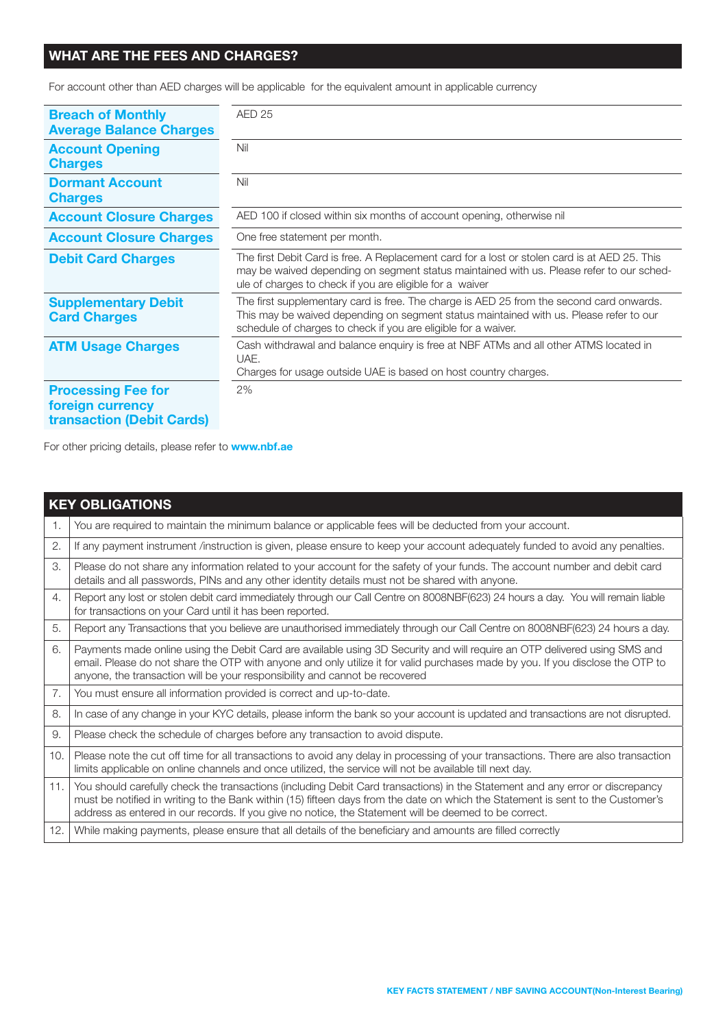### WHAT ARE THE FEES AND CHARGES?

For account other than AED charges will be applicable for the equivalent amount in applicable currency

| <b>Breach of Monthly</b><br><b>Average Balance Charges</b>                        | AED <sub>25</sub>                                                                                                                                                                                                                                     |
|-----------------------------------------------------------------------------------|-------------------------------------------------------------------------------------------------------------------------------------------------------------------------------------------------------------------------------------------------------|
| <b>Account Opening</b><br><b>Charges</b>                                          | Nil                                                                                                                                                                                                                                                   |
| <b>Dormant Account</b><br><b>Charges</b>                                          | Nil                                                                                                                                                                                                                                                   |
| <b>Account Closure Charges</b>                                                    | AED 100 if closed within six months of account opening, otherwise nil                                                                                                                                                                                 |
| <b>Account Closure Charges</b>                                                    | One free statement per month.                                                                                                                                                                                                                         |
| <b>Debit Card Charges</b>                                                         | The first Debit Card is free. A Replacement card for a lost or stolen card is at AED 25. This<br>may be waived depending on segment status maintained with us. Please refer to our sched-<br>ule of charges to check if you are eligible for a waiver |
| <b>Supplementary Debit</b><br><b>Card Charges</b>                                 | The first supplementary card is free. The charge is AED 25 from the second card onwards.<br>This may be waived depending on segment status maintained with us. Please refer to our<br>schedule of charges to check if you are eligible for a waiver.  |
| <b>ATM Usage Charges</b>                                                          | Cash withdrawal and balance enquiry is free at NBF ATMs and all other ATMS located in<br>UAE.<br>Charges for usage outside UAE is based on host country charges.                                                                                      |
| <b>Processing Fee for</b><br>foreign currency<br><b>transaction (Debit Cards)</b> | 2%                                                                                                                                                                                                                                                    |

For other pricing details, please refer to **www.nbf.ae** 

|     | <b>KEY OBLIGATIONS</b>                                                                                                                                                                                                                                                                                                                                                    |  |  |  |
|-----|---------------------------------------------------------------------------------------------------------------------------------------------------------------------------------------------------------------------------------------------------------------------------------------------------------------------------------------------------------------------------|--|--|--|
| 1.  | You are required to maintain the minimum balance or applicable fees will be deducted from your account.                                                                                                                                                                                                                                                                   |  |  |  |
| 2.  | If any payment instrument /instruction is given, please ensure to keep your account adequately funded to avoid any penalties.                                                                                                                                                                                                                                             |  |  |  |
| 3.  | Please do not share any information related to your account for the safety of your funds. The account number and debit card<br>details and all passwords, PINs and any other identity details must not be shared with anyone.                                                                                                                                             |  |  |  |
| 4.  | Report any lost or stolen debit card immediately through our Call Centre on 8008NBF(623) 24 hours a day. You will remain liable<br>for transactions on your Card until it has been reported.                                                                                                                                                                              |  |  |  |
| 5.  | Report any Transactions that you believe are unauthorised immediately through our Call Centre on 8008NBF(623) 24 hours a day.                                                                                                                                                                                                                                             |  |  |  |
| 6.  | Payments made online using the Debit Card are available using 3D Security and will require an OTP delivered using SMS and<br>email. Please do not share the OTP with anyone and only utilize it for valid purchases made by you. If you disclose the OTP to<br>anyone, the transaction will be your responsibility and cannot be recovered                                |  |  |  |
| 7.  | You must ensure all information provided is correct and up-to-date.                                                                                                                                                                                                                                                                                                       |  |  |  |
| 8.  | In case of any change in your KYC details, please inform the bank so your account is updated and transactions are not disrupted.                                                                                                                                                                                                                                          |  |  |  |
| 9.  | Please check the schedule of charges before any transaction to avoid dispute.                                                                                                                                                                                                                                                                                             |  |  |  |
| 10. | Please note the cut off time for all transactions to avoid any delay in processing of your transactions. There are also transaction<br>limits applicable on online channels and once utilized, the service will not be available till next day.                                                                                                                           |  |  |  |
| 11. | You should carefully check the transactions (including Debit Card transactions) in the Statement and any error or discrepancy<br>must be notified in writing to the Bank within (15) fifteen days from the date on which the Statement is sent to the Customer's<br>address as entered in our records. If you give no notice, the Statement will be deemed to be correct. |  |  |  |
| 12. | While making payments, please ensure that all details of the beneficiary and amounts are filled correctly                                                                                                                                                                                                                                                                 |  |  |  |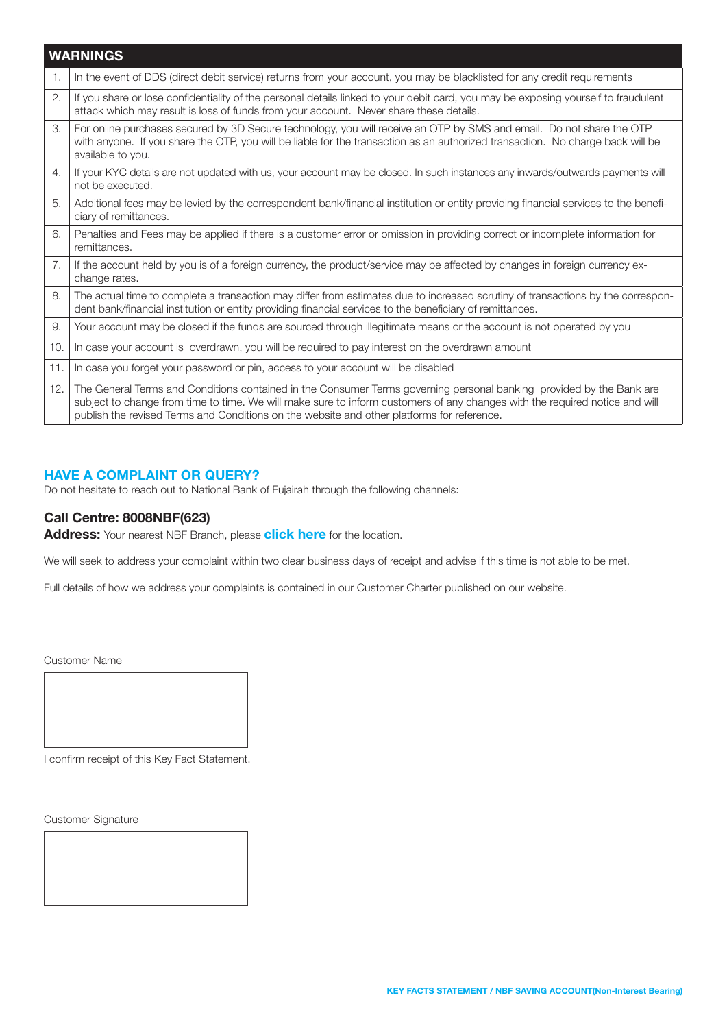|                | <b>WARNINGS</b>                                                                                                                                                                                                                                                                                                                                   |
|----------------|---------------------------------------------------------------------------------------------------------------------------------------------------------------------------------------------------------------------------------------------------------------------------------------------------------------------------------------------------|
| $\mathbf{1}$ . | In the event of DDS (direct debit service) returns from your account, you may be blacklisted for any credit requirements                                                                                                                                                                                                                          |
| 2.             | If you share or lose confidentiality of the personal details linked to your debit card, you may be exposing yourself to fraudulent<br>attack which may result is loss of funds from your account. Never share these details.                                                                                                                      |
| 3.             | For online purchases secured by 3D Secure technology, you will receive an OTP by SMS and email. Do not share the OTP<br>with anyone. If you share the OTP, you will be liable for the transaction as an authorized transaction. No charge back will be<br>available to you.                                                                       |
| 4.             | If your KYC details are not updated with us, your account may be closed. In such instances any inwards/outwards payments will<br>not be executed.                                                                                                                                                                                                 |
| 5.             | Additional fees may be levied by the correspondent bank/financial institution or entity providing financial services to the benefi-<br>ciary of remittances.                                                                                                                                                                                      |
| 6.             | Penalties and Fees may be applied if there is a customer error or omission in providing correct or incomplete information for<br>remittances.                                                                                                                                                                                                     |
| 7.             | If the account held by you is of a foreign currency, the product/service may be affected by changes in foreign currency ex-<br>change rates.                                                                                                                                                                                                      |
| 8.             | The actual time to complete a transaction may differ from estimates due to increased scrutiny of transactions by the correspon-<br>dent bank/financial institution or entity providing financial services to the beneficiary of remittances.                                                                                                      |
| 9.             | Your account may be closed if the funds are sourced through illegitimate means or the account is not operated by you                                                                                                                                                                                                                              |
| 10.            | In case your account is overdrawn, you will be required to pay interest on the overdrawn amount                                                                                                                                                                                                                                                   |
| 11.            | In case you forget your password or pin, access to your account will be disabled                                                                                                                                                                                                                                                                  |
| 12.            | The General Terms and Conditions contained in the Consumer Terms governing personal banking provided by the Bank are<br>subject to change from time to time. We will make sure to inform customers of any changes with the required notice and will<br>publish the revised Terms and Conditions on the website and other platforms for reference. |

#### HAVE A COMPLAINT OR QUERY?

Do not hesitate to reach out to National Bank of Fujairah through the following channels:

#### Call Centre: 8008NBF(623)

Address: Your nearest NBF Branch, please [click here](https://nbf.ae/en/contact/locations) for the location.

We will seek to address your complaint within two clear business days of receipt and advise if this time is not able to be met.

Full details of how we address your complaints is contained in our Customer Charter published on our website.

Customer Name

I confirm receipt of this Key Fact Statement.

Customer Signature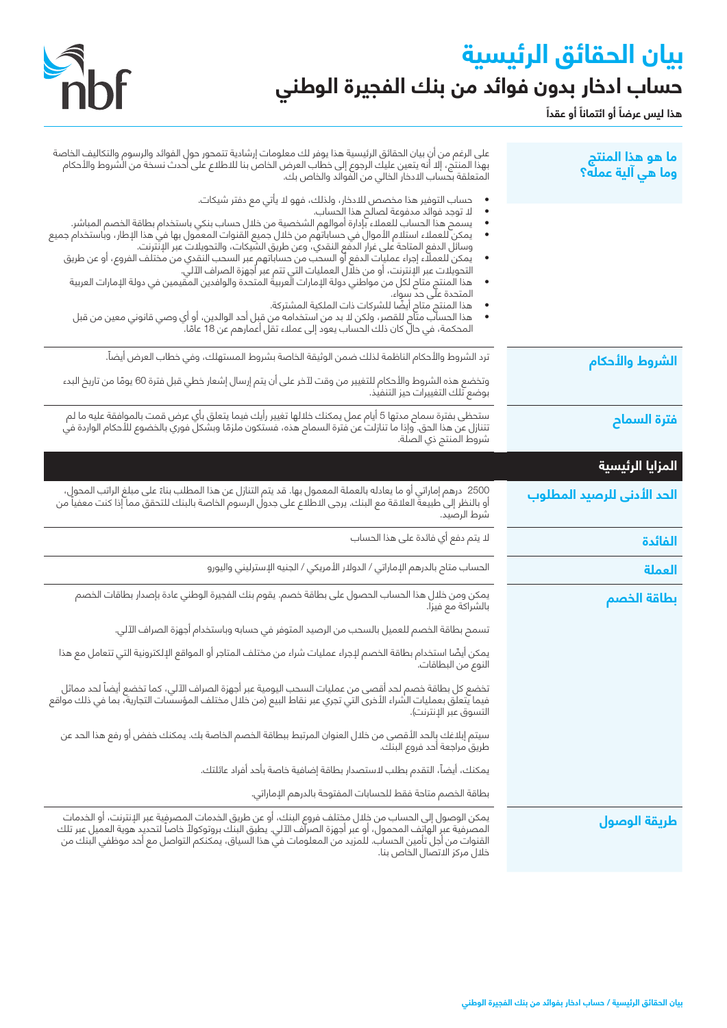# **بيان الحقائق الرئيسية حساب ادخار بدون فوائد من بنك الفجيرة الوطني**



**ً** هذا ليس عرضاً أو ائتماناً أو عقداً

| ما هو هذا المنتج<br>وما هي آلية عمله؟ | على الرغم من أنِ بيان الحقائق الرئيسية هذا يوفر لك معلومات إرشادية تتمحور حولِ الفوائد والرسوم والتكاليف الخاصة<br>بهذا المنتج، إلا أنه يتعين عليك الرجوع إلى خطاب العرض الخاص بنا للاطلاع على أحدث نسخة من الشروط والأحكام<br>المتعلقة بحساب الادخار الخالي من الّفوائد والخاص بك.                                                                                                                                                                                                                                                                                                                                                                                                                                                                                                                                                                                                                                                                                                      |
|---------------------------------------|------------------------------------------------------------------------------------------------------------------------------------------------------------------------------------------------------------------------------------------------------------------------------------------------------------------------------------------------------------------------------------------------------------------------------------------------------------------------------------------------------------------------------------------------------------------------------------------------------------------------------------------------------------------------------------------------------------------------------------------------------------------------------------------------------------------------------------------------------------------------------------------------------------------------------------------------------------------------------------------|
|                                       | حساب التوفير هذا مخصص للادخار، ولذلك، فهو لا يأتي مع دفتر شيكات.<br>لا توجد فوائد مدفوعة لصالح هذا إلحساب.<br>يسمح هذا الحساب للعملاء بإدارة أموالهم الشخصية من خلال حساب بنكي باستخدام بطاقة الخصم المباشر.<br>يمكن للعملاء استلام الأموال في حساباتهم من خلال جميع القنوات المعمول بها في هذا الإطار، وباستخدام جميع<br>وسائل الدفع المتاحة على غرار الدفع النقدي، وعن طريق الشَّيكات، والتحويلات عبر الإنَّترنت.<br>يمكن للعملاء إجراء عمليِات الدفع أو السحب من حساباتهم عبر السحب النقدي من مختلف الفروع، او عن طريق<br>التحويلات عبر الإنترنت، أو من خلَّال العمليات التي تتم عبر أجهزة الصراف الآلي.<br>هذا المنتج متاح لكل من مواطني دولة الإمارات الْعربية المتحدة والوافدين المقيمين في دولة الإمارات العربية<br>المتحدة على حد سواء.<br>هذا المنتج متام أيضًا للشركات ذات الملكية المشتركة.<br>هذا الحساّب متّاح للقصر، ولكن لا بد من استخدامه من قبل أحد الوالدين، أو أي وصي قانوني معين من قبل<br>المحكمة، في حالَ كان ذلك الحساب يعود إلى عملاء تقل أعمارهم عن 18 عامًا. ۖ |
| الشروط والأحكام                       | ترد الشروط والأحكام الناظمة لذلك ضمن الوثيقة الخاصة بشروط المستهلك، وفي خطاب العرض أيضاً.<br>وتخضع هذه الشروط والأحكام للتغيير من وقت لآخر على أن يتم إرسال إشعار خطي قبل فترة 60 يومًا من تاريخ البدء<br>بوضع تلك التغييرات حيز التنفيذ.                                                                                                                                                                                                                                                                                                                                                                                                                                                                                                                                                                                                                                                                                                                                                |
| فترة السماح                           | ستحظى بفترة سماح مدتها 5 أيام عمل يمكنك خلالها تغيير رأيك فيما يتعلق بأي عرض قمت بالموافقة عليه ما لم<br>تتنازل عن هذا الحق. وإذا ما تنازلت عن فترة السماح هذه، فستكون ملزمًا وبشكل فوري بالخضوع للأحكام الواردة في<br>شروط المنتج ذي الصلة.                                                                                                                                                                                                                                                                                                                                                                                                                                                                                                                                                                                                                                                                                                                                             |
| المزايا الرئيسية                      |                                                                                                                                                                                                                                                                                                                                                                                                                                                                                                                                                                                                                                                                                                                                                                                                                                                                                                                                                                                          |
| الحد الأدنى للرصيد المطلوب            | 2500  درهم إماراتي أو ما يعادله بالعملة المعمول بها. قد يتم التنازل عن هذا المطلب بناءً على مبلغ الراتب المحول،<br>أو بالنظر إلى طبيعة العلاقة مع البنك. يرجى الاطلاع على جدول الرسوم الخاصة بالبنك للتحقق مما إذا كنت معفياً من<br>شرط الرصيد.                                                                                                                                                                                                                                                                                                                                                                                                                                                                                                                                                                                                                                                                                                                                          |
| الفائدة                               | لا يتم دفع أي فائدة على هذا الحساب                                                                                                                                                                                                                                                                                                                                                                                                                                                                                                                                                                                                                                                                                                                                                                                                                                                                                                                                                       |
| العملة                                | الحساب متاح بالدرهم الإماراتي / الدولار الأمريكي / الجنيه الإسترلينى واليورو                                                                                                                                                                                                                                                                                                                                                                                                                                                                                                                                                                                                                                                                                                                                                                                                                                                                                                             |
| بطاقة الخصم                           | يمكن ومن خلال هذا الحساب الحصول على بطاقة خصم. يقوم بنك الفجيرة الوطني عادة بإصدار بطاقات الخصم<br>بالشراكة مع فيزا.                                                                                                                                                                                                                                                                                                                                                                                                                                                                                                                                                                                                                                                                                                                                                                                                                                                                     |
|                                       | تسمح بطاقة الخصم للعميل بالسحب من الرصيد المتوفر في حسابه وباستخدام أجهزة الصراف الآلي.                                                                                                                                                                                                                                                                                                                                                                                                                                                                                                                                                                                                                                                                                                                                                                                                                                                                                                  |
|                                       | يمكن أيضًا استخدام بطاقة الخصم لإجراء عمليات شراء من مختلف المتاجر أو المواقع الإلكترونية التي تتعامل مع هذا<br>النوع من البطاقات.                                                                                                                                                                                                                                                                                                                                                                                                                                                                                                                                                                                                                                                                                                                                                                                                                                                       |
|                                       | تخضع كل بطاقة خصم لحد أقصى من عمليات السحب اليومية عبر أجهزة الصراف الآلي، كما تخضع أيضاً لحد مماثل<br>فيما يَتعلَّق بعمليات الشراء الأخرى التي تجري عبر نقاط البيع (من خلال مختلف المؤسسَّات التجارية، بما في ذلك مواقع<br>التسوق عبر الإنترنت).                                                                                                                                                                                                                                                                                                                                                                                                                                                                                                                                                                                                                                                                                                                                        |
|                                       | سيتم إبلاغك بالحد الأقصى من خلال العنوان المرتبط ببطاقة الخصم الخاصة بك. يمكنك خفض أو رفع هذا الحد عن<br>طريق مراجعة أحد فروع البنك.                                                                                                                                                                                                                                                                                                                                                                                                                                                                                                                                                                                                                                                                                                                                                                                                                                                     |
|                                       | يمكنك، أيضاً، التقدم بطلب لاستصدار بطاقة إضافية خاصة بأحد أفراد عائلتك.                                                                                                                                                                                                                                                                                                                                                                                                                                                                                                                                                                                                                                                                                                                                                                                                                                                                                                                  |
|                                       | بطاقة الخصم متاحة فقط للحسابات المفتوحة بالدرهم الإماراتي.                                                                                                                                                                                                                                                                                                                                                                                                                                                                                                                                                                                                                                                                                                                                                                                                                                                                                                                               |
| طريقة الوصول                          | يمكن الوصول إلى الحساب من خلال مختلف فروع البنك، أو عن طريق الخدمات المصرفية عبر الإنترنت، أو الخدمات<br>المصرفية عبر الهاتف المحمول، أو عبر أجهزة الصرآف الآلي. يطبق البنك بروتوكولاً خاصاً لتحديد هوية العميل عبر تلك<br>القنوات من أجل تأمين الحساب. للمزيد من المعلومات في هذا السياق، يمكنكم التواصل مع أحد موظفي البنك من<br>خلال مركز الاتصال الخاص بنا.                                                                                                                                                                                                                                                                                                                                                                                                                                                                                                                                                                                                                          |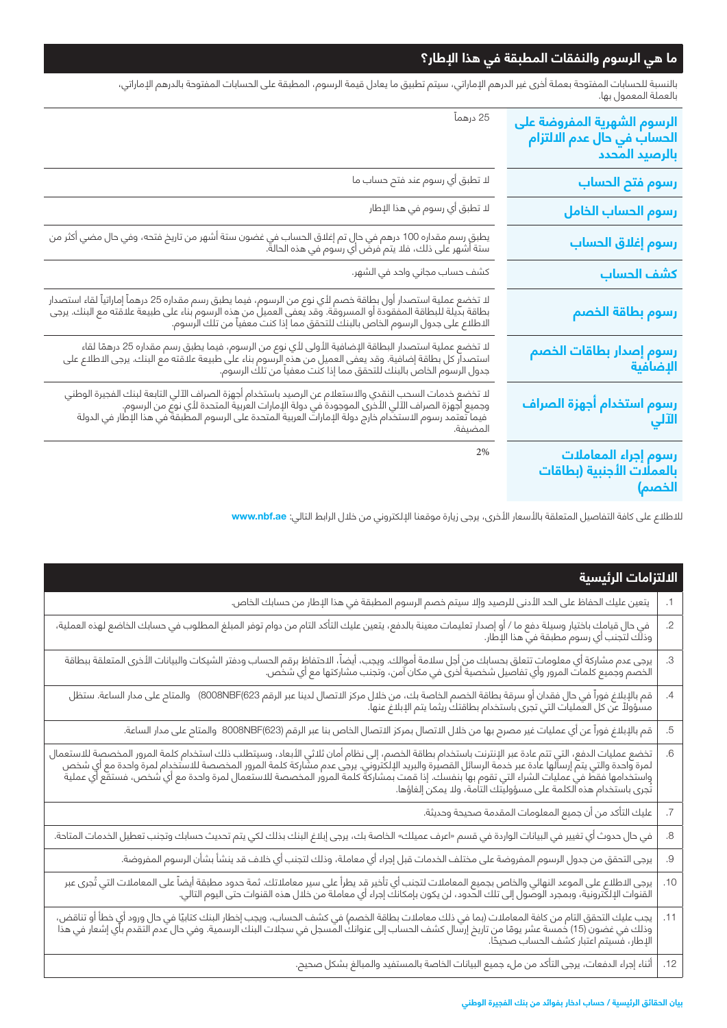### **ما هي الرسوم والنفقات المطبقة في هذا اإلطار؟**

بالنسبة للحسابات المفتوحة بعملة أخرى غير الدرهم اإلماراتي، سيتم تطبيق ما يعادل قيمة الرسوم، المطبقة على الحسابات المفتوحة بالدرهم اإلماراتي، بالعملة المعمول بها.

| الرسوم الشهرية المفروضة على<br>الحساب في حال عدم الالتزام<br>بالرصيد المحدد | 25 درهماً                                                                                                                                                                                                                                       |
|-----------------------------------------------------------------------------|-------------------------------------------------------------------------------------------------------------------------------------------------------------------------------------------------------------------------------------------------|
| رسوم فتح الحساب                                                             | لا تطبق أي رسوم عند فتح حساب ما                                                                                                                                                                                                                 |
| رسوم الحساب الخامل                                                          | لا تطبق أي رسوم في هذا الإطار                                                                                                                                                                                                                   |
| رسوم إغلاق الحساب                                                           | يطبق رسم مقداره 100 درهم في حال تم إغلاق الحساب في غضون ستة أشهر من تاريخ فتحه، وفي حال مضي أكثر من<br>ستة أشهر على ذلك، فلا يتم فرض أي رسوم في هذه الحالة.                                                                                     |
| كشف الحساب                                                                  | كشف حساب مجاني واحد في الشهر.                                                                                                                                                                                                                   |
| رسوم بطاقة الخصم                                                            | لا تخضع عملية استصدار أول بطاقة خصم لأي نوع من الرسوم، فيما يطبق رسم مقداره 25 درهماً إماراتياً لقاء استصدار<br>بطاقة بديلة للبطاقة المفقودة أو المسروقة. وقد يعفى العميل من هذه الرسوم بناء على طبيعة علاقته مع البنك. يرجى<br>الا             |
| رسوم إصدار بطاقات الخصم<br>الإضافية                                         | لا تخضع عملية استصدار البطاقة الإضافية الأولى لأي نوع من الرسوم، فيما يطبق رسم مقداره 25 درهمًا لقاء<br>استصدار كل بطاقة إضافية. وقد يعفى العميل من هذه الرسوم بناء على طبيعة علاقته مع البنك. يرجى الاطلاع على<br>جدول الرسوم الخا             |
| رسوم استخدام أجهزة الصراف<br>الآلي                                          | لا تخضع خدمات السحب النقدي والاستعلام عن الرصيد باستخدام أجهزة الصراف الآلي التابعة لبنك الفجيرة الوطني<br>وجميع أجهزة الصراف الآلي الأخرى الموجودة في دولة الإمارات العربية المتحدة لأي نوع من الرسوم.<br>" ميما يتصد رسوم الاستخد<br>المضيفة. |
| رسوم إجراء المعاملات<br>بالعملات الأجنبية (بطاقات<br>الخصم)                 | 2%                                                                                                                                                                                                                                              |

لالطالع على كافة التفاصيل المتعلقة باألسعار األخرى، يرجى زيارة موقعنا اإللكتروني من خالل الرابط التالي: **ae.nbf.www**

|           | الالتزامات الرئيسية                                                                                                                                                                                                              |  |
|-----------|----------------------------------------------------------------------------------------------------------------------------------------------------------------------------------------------------------------------------------|--|
| $\cdot$ 1 | يتعين عليك الحفاظ على الحد الأدنى للرصيد وإلا سيتم خصم الرسوم المطبقة في هذا الإطار من حسابك الخاص.                                                                                                                              |  |
| $.2\,$    | .<br>في حال قيامك باختيار وسيلة دفع ما / أو إصدار تعليمات معينة بالدفع، يتعين عليك التأكد التام من دوام توفر المبلغ المطلوب في حسابك الخاضع لهذه العملية،<br>وذلك لتجنب أي رسوم مطبقة في هذا الإطار.                             |  |
| $.3\,$    | يرجى عدم مشاركة أي معلومات تتعلق بحسابك من أجل سلامة أموالك. ويجب، أيضاً، الاحتفاظ برقم الحساب ودفتر الشيكات والبيانات الأخرى المتعلقة ببطاقة<br>الخصم وجميع كلمات المرور وأي تفاصيل شخصية أخرى في مكان آمن، وتجنب مشاركتها مع أ |  |
| $\cdot$   | قم بالإبلاغ فوراً في حال فقدان أو سرقة بطاقة الخصم الخاصة بك، من خلال مركز الاتصال لدينا عبر الرقم 8008NBF(623)   والمتاح على مدار الساعة. ستظل<br>مسؤولاً عن كل العمليات التي تجرى باستخدام بطاقتك ريثما يتم الإبلاغ عنها.      |  |
| .5        | قم بالإبلاغ فوراً عن أي عمليات غير مصرح بها من خلال الاتصال بمركز الاتصال الخاص بنا عبر الرقم (8008NBF(623  والمتاح على مدار الساعة.                                                                                             |  |
| .6        | ً تخضع عمليات الدفع، التي تتم عادة عبر الإنترنت باستخدام بطاقة الخصم، إلى نظام أمان ثلاثي الأبعاد، وسيتطلب ذلك استخدام كلمة المرور المخصصة للاستعمال<br>لمرة واحدة والتي يتم إرسالها عادة عبر خدمة الرسائل القصيرة والبريد الإلك |  |
| .7        | عليك التأكد من أن جميع المعلومات المقدمة صحيحة وحديثة.                                                                                                                                                                           |  |
| .8        | في حال حدوث أي تغيير في البيانات الواردة في قسم «اعرف عميلك» الخاصة بك، يرجى إبلاغ البنك بذلك لكي يتم تحديث حسابك وتجنب تعطيل الخدمات المتاحة.                                                                                   |  |
| .9        | يرجى التحقق من جدول الرسوم المفروضة على مختلف الخدمات قبل إجراء أي معاملة، وذلك لتجنب أي خلاف قد ينشأ بشأن الرسوم المفروضة.                                                                                                      |  |
| .10       | يرجى الاطلاع على الموعد النهائي والخاص بجميع المعاملات لتجنب أي تأخير قد يطرأ على سير معاملاتك. ثمة حدود مطبقة أيضاً على المعاملات التي تُجرى عبر<br>القنوات الإلكترونية، وبمجرد الوصول إلى تلك الحدود، لن يكون بإمكانك إجراء أي |  |
| .11       | يجب عليك التحقق التام من كافة المعاملات (بما في ذلك معاملات بطاقة الخصم) في كشف الحساب، ويجب إخطار البنك كتابيًا في حال ورود أي خطأ أو تناقض،<br>وذلك في غضون (15) خمسة عشر يومًا من تاريخ إرسال كشف الحساب إلى عنوانك المسجل في |  |
| .12       | أثناء إجراء الدفعات، يرجى التأكد من ملء جميع البيانات الخاصة بالمستفيد والمبالغ بشكل صحيح.                                                                                                                                       |  |